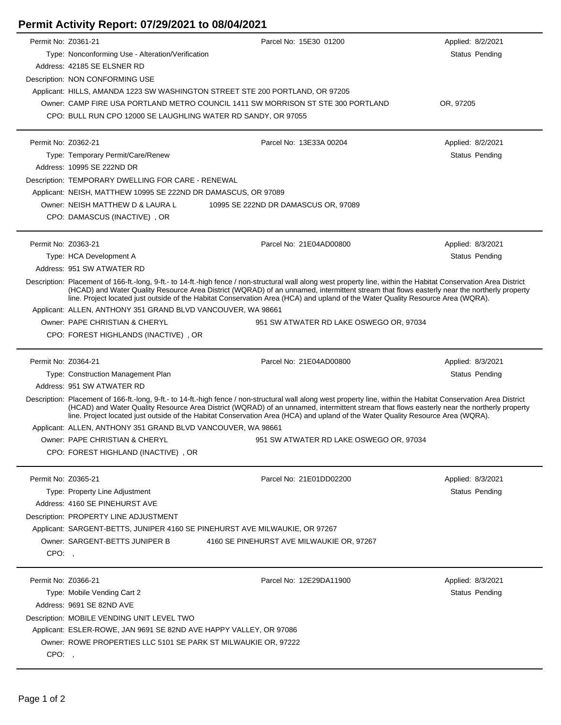## **Permit Activity Report: 07/29/2021 to 08/04/2021**

| Permit No: Z0361-21 |                                                                                                                                                                                                                                                                                                                                                                                                                                                    | Parcel No: 15E30 01200                                                                                                                                                                                                                                                                                                                                                                                                                             | Applied: 8/2/2021     |
|---------------------|----------------------------------------------------------------------------------------------------------------------------------------------------------------------------------------------------------------------------------------------------------------------------------------------------------------------------------------------------------------------------------------------------------------------------------------------------|----------------------------------------------------------------------------------------------------------------------------------------------------------------------------------------------------------------------------------------------------------------------------------------------------------------------------------------------------------------------------------------------------------------------------------------------------|-----------------------|
|                     | Type: Nonconforming Use - Alteration/Verification                                                                                                                                                                                                                                                                                                                                                                                                  |                                                                                                                                                                                                                                                                                                                                                                                                                                                    | <b>Status Pending</b> |
|                     | Address: 42185 SE ELSNER RD                                                                                                                                                                                                                                                                                                                                                                                                                        |                                                                                                                                                                                                                                                                                                                                                                                                                                                    |                       |
|                     | Description: NON CONFORMING USE                                                                                                                                                                                                                                                                                                                                                                                                                    |                                                                                                                                                                                                                                                                                                                                                                                                                                                    |                       |
|                     | Applicant: HILLS, AMANDA 1223 SW WASHINGTON STREET STE 200 PORTLAND, OR 97205                                                                                                                                                                                                                                                                                                                                                                      |                                                                                                                                                                                                                                                                                                                                                                                                                                                    |                       |
|                     |                                                                                                                                                                                                                                                                                                                                                                                                                                                    | Owner: CAMP FIRE USA PORTLAND METRO COUNCIL 1411 SW MORRISON ST STE 300 PORTLAND                                                                                                                                                                                                                                                                                                                                                                   | OR, 97205             |
|                     | CPO: BULL RUN CPO 12000 SE LAUGHLING WATER RD SANDY, OR 97055                                                                                                                                                                                                                                                                                                                                                                                      |                                                                                                                                                                                                                                                                                                                                                                                                                                                    |                       |
|                     |                                                                                                                                                                                                                                                                                                                                                                                                                                                    |                                                                                                                                                                                                                                                                                                                                                                                                                                                    |                       |
| Permit No: Z0362-21 |                                                                                                                                                                                                                                                                                                                                                                                                                                                    | Parcel No: 13E33A 00204                                                                                                                                                                                                                                                                                                                                                                                                                            | Applied: 8/2/2021     |
|                     | Type: Temporary Permit/Care/Renew                                                                                                                                                                                                                                                                                                                                                                                                                  |                                                                                                                                                                                                                                                                                                                                                                                                                                                    | Status Pending        |
|                     | Address: 10995 SE 222ND DR                                                                                                                                                                                                                                                                                                                                                                                                                         |                                                                                                                                                                                                                                                                                                                                                                                                                                                    |                       |
|                     |                                                                                                                                                                                                                                                                                                                                                                                                                                                    |                                                                                                                                                                                                                                                                                                                                                                                                                                                    |                       |
|                     | Description: TEMPORARY DWELLING FOR CARE - RENEWAL                                                                                                                                                                                                                                                                                                                                                                                                 |                                                                                                                                                                                                                                                                                                                                                                                                                                                    |                       |
|                     | Applicant: NEISH, MATTHEW 10995 SE 222ND DR DAMASCUS, OR 97089                                                                                                                                                                                                                                                                                                                                                                                     |                                                                                                                                                                                                                                                                                                                                                                                                                                                    |                       |
|                     | Owner: NEISH MATTHEW D & LAURA L                                                                                                                                                                                                                                                                                                                                                                                                                   | 10995 SE 222ND DR DAMASCUS OR, 97089                                                                                                                                                                                                                                                                                                                                                                                                               |                       |
|                     | CPO: DAMASCUS (INACTIVE), OR                                                                                                                                                                                                                                                                                                                                                                                                                       |                                                                                                                                                                                                                                                                                                                                                                                                                                                    |                       |
| Permit No: Z0363-21 |                                                                                                                                                                                                                                                                                                                                                                                                                                                    | Parcel No: 21E04AD00800                                                                                                                                                                                                                                                                                                                                                                                                                            |                       |
|                     |                                                                                                                                                                                                                                                                                                                                                                                                                                                    |                                                                                                                                                                                                                                                                                                                                                                                                                                                    | Applied: 8/3/2021     |
|                     | Type: HCA Development A                                                                                                                                                                                                                                                                                                                                                                                                                            |                                                                                                                                                                                                                                                                                                                                                                                                                                                    | Status Pending        |
|                     | Address: 951 SW ATWATER RD                                                                                                                                                                                                                                                                                                                                                                                                                         |                                                                                                                                                                                                                                                                                                                                                                                                                                                    |                       |
|                     | Description: Placement of 166-ft.-long, 9-ft.- to 14-ft.-high fence / non-structural wall along west property line, within the Habitat Conservation Area District<br>(HCAD) and Water Quality Resource Area District (WQRAD) of an unnamed, intermittent stream that flows easterly near the northerly property<br>line. Project located just outside of the Habitat Conservation Area (HCA) and upland of the Water Quality Resource Area (WQRA). |                                                                                                                                                                                                                                                                                                                                                                                                                                                    |                       |
|                     | Applicant: ALLEN, ANTHONY 351 GRAND BLVD VANCOUVER, WA 98661                                                                                                                                                                                                                                                                                                                                                                                       |                                                                                                                                                                                                                                                                                                                                                                                                                                                    |                       |
|                     | Owner: PAPE CHRISTIAN & CHERYL                                                                                                                                                                                                                                                                                                                                                                                                                     | 951 SW ATWATER RD LAKE OSWEGO OR, 97034                                                                                                                                                                                                                                                                                                                                                                                                            |                       |
|                     | CPO: FOREST HIGHLANDS (INACTIVE), OR                                                                                                                                                                                                                                                                                                                                                                                                               |                                                                                                                                                                                                                                                                                                                                                                                                                                                    |                       |
|                     |                                                                                                                                                                                                                                                                                                                                                                                                                                                    |                                                                                                                                                                                                                                                                                                                                                                                                                                                    |                       |
|                     |                                                                                                                                                                                                                                                                                                                                                                                                                                                    |                                                                                                                                                                                                                                                                                                                                                                                                                                                    |                       |
| Permit No: Z0364-21 |                                                                                                                                                                                                                                                                                                                                                                                                                                                    | Parcel No: 21E04AD00800                                                                                                                                                                                                                                                                                                                                                                                                                            | Applied: 8/3/2021     |
|                     | Type: Construction Management Plan                                                                                                                                                                                                                                                                                                                                                                                                                 |                                                                                                                                                                                                                                                                                                                                                                                                                                                    | Status Pending        |
|                     | Address: 951 SW ATWATER RD                                                                                                                                                                                                                                                                                                                                                                                                                         |                                                                                                                                                                                                                                                                                                                                                                                                                                                    |                       |
|                     |                                                                                                                                                                                                                                                                                                                                                                                                                                                    | Description: Placement of 166-ft.-long, 9-ft.- to 14-ft.-high fence / non-structural wall along west property line, within the Habitat Conservation Area District<br>(HCAD) and Water Quality Resource Area District (WQRAD) of an unnamed, intermittent stream that flows easterly near the northerly property<br>line. Project located just outside of the Habitat Conservation Area (HCA) and upland of the Water Quality Resource Area (WQRA). |                       |
|                     | Applicant: ALLEN, ANTHONY 351 GRAND BLVD VANCOUVER, WA 98661                                                                                                                                                                                                                                                                                                                                                                                       |                                                                                                                                                                                                                                                                                                                                                                                                                                                    |                       |
|                     | Owner: PAPE CHRISTIAN & CHERYL                                                                                                                                                                                                                                                                                                                                                                                                                     | 951 SW ATWATER RD LAKE OSWEGO OR, 97034                                                                                                                                                                                                                                                                                                                                                                                                            |                       |
|                     | CPO: FOREST HIGHLAND (INACTIVE), OR                                                                                                                                                                                                                                                                                                                                                                                                                |                                                                                                                                                                                                                                                                                                                                                                                                                                                    |                       |
|                     |                                                                                                                                                                                                                                                                                                                                                                                                                                                    |                                                                                                                                                                                                                                                                                                                                                                                                                                                    |                       |
| Permit No: Z0365-21 |                                                                                                                                                                                                                                                                                                                                                                                                                                                    | Parcel No: 21E01DD02200                                                                                                                                                                                                                                                                                                                                                                                                                            | Applied: 8/3/2021     |
|                     | Type: Property Line Adjustment                                                                                                                                                                                                                                                                                                                                                                                                                     |                                                                                                                                                                                                                                                                                                                                                                                                                                                    | Status Pending        |
|                     | Address: 4160 SE PINEHURST AVE                                                                                                                                                                                                                                                                                                                                                                                                                     |                                                                                                                                                                                                                                                                                                                                                                                                                                                    |                       |
|                     | Description: PROPERTY LINE ADJUSTMENT                                                                                                                                                                                                                                                                                                                                                                                                              |                                                                                                                                                                                                                                                                                                                                                                                                                                                    |                       |
|                     | Applicant: SARGENT-BETTS, JUNIPER 4160 SE PINEHURST AVE MILWAUKIE, OR 97267                                                                                                                                                                                                                                                                                                                                                                        |                                                                                                                                                                                                                                                                                                                                                                                                                                                    |                       |
|                     | Owner: SARGENT-BETTS JUNIPER B                                                                                                                                                                                                                                                                                                                                                                                                                     | 4160 SE PINEHURST AVE MILWAUKIE OR, 97267                                                                                                                                                                                                                                                                                                                                                                                                          |                       |
|                     |                                                                                                                                                                                                                                                                                                                                                                                                                                                    |                                                                                                                                                                                                                                                                                                                                                                                                                                                    |                       |
| CPO:,               |                                                                                                                                                                                                                                                                                                                                                                                                                                                    |                                                                                                                                                                                                                                                                                                                                                                                                                                                    |                       |
| Permit No: Z0366-21 |                                                                                                                                                                                                                                                                                                                                                                                                                                                    | Parcel No: 12E29DA11900                                                                                                                                                                                                                                                                                                                                                                                                                            | Applied: 8/3/2021     |
|                     | Type: Mobile Vending Cart 2                                                                                                                                                                                                                                                                                                                                                                                                                        |                                                                                                                                                                                                                                                                                                                                                                                                                                                    | Status Pending        |
|                     | Address: 9691 SE 82ND AVE                                                                                                                                                                                                                                                                                                                                                                                                                          |                                                                                                                                                                                                                                                                                                                                                                                                                                                    |                       |
|                     |                                                                                                                                                                                                                                                                                                                                                                                                                                                    |                                                                                                                                                                                                                                                                                                                                                                                                                                                    |                       |
|                     | Description: MOBILE VENDING UNIT LEVEL TWO                                                                                                                                                                                                                                                                                                                                                                                                         |                                                                                                                                                                                                                                                                                                                                                                                                                                                    |                       |
|                     | Applicant: ESLER-ROWE, JAN 9691 SE 82ND AVE HAPPY VALLEY, OR 97086                                                                                                                                                                                                                                                                                                                                                                                 |                                                                                                                                                                                                                                                                                                                                                                                                                                                    |                       |
| CPO:,               | Owner: ROWE PROPERTIES LLC 5101 SE PARK ST MILWAUKIE OR, 97222                                                                                                                                                                                                                                                                                                                                                                                     |                                                                                                                                                                                                                                                                                                                                                                                                                                                    |                       |